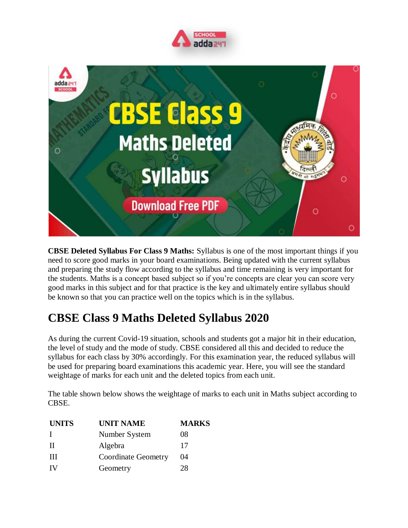



**CBSE Deleted Syllabus For Class 9 Maths:** Syllabus is one of the most important things if you need to score good marks in your board examinations. Being updated with the current syllabus and preparing the study flow according to the syllabus and time remaining is very important for the students. Maths is a concept based subject so if you're concepts are clear you can score very good marks in this subject and for that practice is the key and ultimately entire syllabus should be known so that you can practice well on the topics which is in the syllabus.

## **CBSE Class 9 Maths Deleted Syllabus 2020**

As during the current Covid-19 situation, schools and students got a major hit in their education, the level of study and the mode of study. CBSE considered all this and decided to reduce the syllabus for each class by 30% accordingly. For this examination year, the reduced syllabus will be used for preparing board examinations this academic year. Here, you will see the standard weightage of marks for each unit and the deleted topics from each unit.

The table shown below shows the weightage of marks to each unit in Maths subject according to CBSE.

| <b>UNITS</b> | <b>UNIT NAME</b>           | <b>MARKS</b> |
|--------------|----------------------------|--------------|
|              | Number System              | 08           |
| Н            | Algebra                    | 17           |
| Ш            | <b>Coordinate Geometry</b> | 04           |
| IV           | Geometry                   | 28           |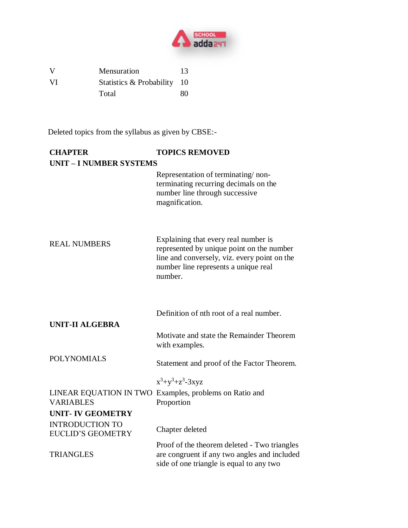

V Mensuration 13 VI Statistics & Probability 10 Total 80

Deleted topics from the syllabus as given by CBSE:-

| <b>CHAPTER</b>                                     | <b>TOPICS REMOVED</b>                                                                                                                                                                |  |  |  |
|----------------------------------------------------|--------------------------------------------------------------------------------------------------------------------------------------------------------------------------------------|--|--|--|
| <b>UNIT - I NUMBER SYSTEMS</b>                     |                                                                                                                                                                                      |  |  |  |
|                                                    | Representation of terminating/non-<br>terminating recurring decimals on the<br>number line through successive<br>magnification.                                                      |  |  |  |
| <b>REAL NUMBERS</b>                                | Explaining that every real number is<br>represented by unique point on the number<br>line and conversely, viz. every point on the<br>number line represents a unique real<br>number. |  |  |  |
| <b>UNIT-II ALGEBRA</b>                             | Definition of nth root of a real number.                                                                                                                                             |  |  |  |
|                                                    | Motivate and state the Remainder Theorem<br>with examples.                                                                                                                           |  |  |  |
| <b>POLYNOMIALS</b>                                 | Statement and proof of the Factor Theorem.                                                                                                                                           |  |  |  |
|                                                    | $x^3+y^3+z^3-3xyz$                                                                                                                                                                   |  |  |  |
| <b>VARIABLES</b>                                   | LINEAR EQUATION IN TWO Examples, problems on Ratio and<br>Proportion                                                                                                                 |  |  |  |
| <b>UNIT-IV GEOMETRY</b>                            |                                                                                                                                                                                      |  |  |  |
| <b>INTRODUCTION TO</b><br><b>EUCLID'S GEOMETRY</b> | Chapter deleted                                                                                                                                                                      |  |  |  |
| <b>TRIANGLES</b>                                   | Proof of the theorem deleted - Two triangles<br>are congruent if any two angles and included<br>side of one triangle is equal to any two                                             |  |  |  |